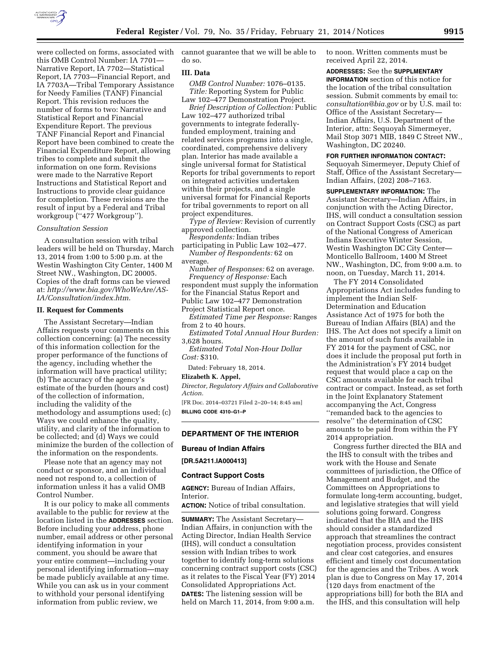

this OMB Control Number: IA 7701— Narrative Report, IA 7702—Statistical Report, IA 7703—Financial Report, and IA 7703A—Tribal Temporary Assistance for Needy Families (TANF) Financial Report. This revision reduces the number of forms to two: Narrative and Statistical Report and Financial Expenditure Report. The previous TANF Financial Report and Financial Report have been combined to create the Financial Expenditure Report, allowing tribes to complete and submit the information on one form. Revisions were made to the Narrative Report Instructions and Statistical Report and Instructions to provide clear guidance for completion. These revisions are the result of input by a Federal and Tribal workgroup (''477 Workgroup'').

### *Consultation Session*

A consultation session with tribal leaders will be held on Thursday, March 13, 2014 from 1:00 to 5:00 p.m. at the Westin Washington City Center, 1400 M Street NW., Washington, DC 20005. Copies of the draft forms can be viewed at: *[http://www.bia.gov/WhoWeAre/AS-](http://www.bia.gov/WhoWeAre/AS-IA/Consultation/index.htm)[IA/Consultation/index.htm](http://www.bia.gov/WhoWeAre/AS-IA/Consultation/index.htm)*.

#### **II. Request for Comments**

The Assistant Secretary—Indian Affairs requests your comments on this collection concerning: (a) The necessity of this information collection for the proper performance of the functions of the agency, including whether the information will have practical utility; (b) The accuracy of the agency's estimate of the burden (hours and cost) of the collection of information, including the validity of the methodology and assumptions used; (c) Ways we could enhance the quality, utility, and clarity of the information to be collected; and (d) Ways we could minimize the burden of the collection of the information on the respondents.

Please note that an agency may not conduct or sponsor, and an individual need not respond to, a collection of information unless it has a valid OMB Control Number.

It is our policy to make all comments available to the public for review at the location listed in the **ADDRESSES** section. Before including your address, phone number, email address or other personal identifying information in your comment, you should be aware that your entire comment—including your personal identifying information—may be made publicly available at any time. While you can ask us in your comment to withhold your personal identifying information from public review, we

were collected on forms, associated with cannot guarantee that we will be able to do so.

### **III. Data**

*OMB Control Number:* 1076–0135. *Title:* Reporting System for Public Law 102–477 Demonstration Project.

*Brief Description of Collection:* Public Law 102–477 authorized tribal governments to integrate federallyfunded employment, training and related services programs into a single, coordinated, comprehensive delivery plan. Interior has made available a single universal format for Statistical Reports for tribal governments to report on integrated activities undertaken within their projects, and a single universal format for Financial Reports for tribal governments to report on all project expenditures.

*Type of Review:* Revision of currently approved collection.

*Respondents:* Indian tribes

participating in Public Law 102–477. *Number of Respondents:* 62 on average.

*Number of Responses:* 62 on average. *Frequency of Response:* Each

respondent must supply the information for the Financial Status Report and Public Law 102–477 Demonstration Project Statistical Report once.

*Estimated Time per Response:* Ranges from 2 to 40 hours.

*Estimated Total Annual Hour Burden:*  3,628 hours.

*Estimated Total Non-Hour Dollar Cost:* \$310.

Dated: February 18, 2014.

**Elizabeth K. Appel,** 

*Director, Regulatory Affairs and Collaborative Action.* 

[FR Doc. 2014–03721 Filed 2–20–14; 8:45 am] **BILLING CODE 4310–G1–P** 

# **DEPARTMENT OF THE INTERIOR**

**Bureau of Indian Affairs** 

**[DR.5A211.IA000413]** 

#### **Contract Support Costs**

**AGENCY:** Bureau of Indian Affairs, Interior.

**ACTION:** Notice of tribal consultation.

**SUMMARY:** The Assistant Secretary— Indian Affairs, in conjunction with the Acting Director, Indian Health Service (IHS), will conduct a consultation session with Indian tribes to work together to identify long-term solutions concerning contract support costs (CSC) as it relates to the Fiscal Year (FY) 2014 Consolidated Appropriations Act. **DATES:** The listening session will be held on March 11, 2014, from 9:00 a.m.

to noon. Written comments must be received April 22, 2014.

**ADDRESSES:** See the **SUPPLMENTARY INFORMATION** section of this notice for the location of the tribal consultation session. Submit comments by email to: *[consultation@bia.gov](mailto:consultation@bia.gov)* or by U.S. mail to: Office of the Assistant Secretary— Indian Affairs, U.S. Department of the Interior, attn: Sequoyah Simermeyer, Mail Stop 3071 MIB, 1849 C Street NW., Washington, DC 20240.

**FOR FURTHER INFORMATION CONTACT:**  Sequoyah Simermeyer, Deputy Chief of Staff, Office of the Assistant Secretary— Indian Affairs, (202) 208–7163.

**SUPPLEMENTARY INFORMATION:** The Assistant Secretary—Indian Affairs, in conjunction with the Acting Director, IHS, will conduct a consultation session on Contract Support Costs (CSC) as part of the National Congress of American Indians Executive Winter Session, Westin Washington DC City Center— Monticello Ballroom, 1400 M Street NW., Washington, DC, from 9:00 a.m. to noon, on Tuesday, March 11, 2014.

The FY 2014 Consolidated Appropriations Act includes funding to implement the Indian Self-Determination and Education Assistance Act of 1975 for both the Bureau of Indian Affairs (BIA) and the IHS. The Act does not specify a limit on the amount of such funds available in FY 2014 for the payment of CSC, nor does it include the proposal put forth in the Administration's FY 2014 budget request that would place a cap on the CSC amounts available for each tribal contract or compact. Instead, as set forth in the Joint Explanatory Statement accompanying the Act, Congress ''remanded back to the agencies to resolve'' the determination of CSC amounts to be paid from within the FY 2014 appropriation.

Congress further directed the BIA and the IHS to consult with the tribes and work with the House and Senate committees of jurisdiction, the Office of Management and Budget, and the Committees on Appropriations to formulate long-term accounting, budget, and legislative strategies that will yield solutions going forward. Congress indicated that the BIA and the IHS should consider a standardized approach that streamlines the contract negotiation process, provides consistent and clear cost categories, and ensures efficient and timely cost documentation for the agencies and the Tribes. A work plan is due to Congress on May 17, 2014 (120 days from enactment of the appropriations bill) for both the BIA and the IHS, and this consultation will help